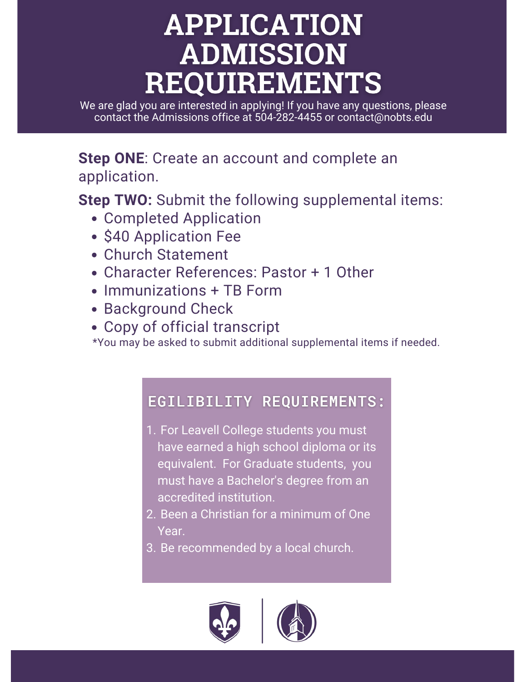## **APPLICATION ADMISSION REQUIREMENTS**

We are glad you are interested in applying! If you have any questions, please contact the Admissions office at 504-282-4455 or contact@nobts.edu

**Step ONE**: Create an account and complete an application.

**Step TWO:** Submit the following supplemental items:

- Completed Application
- \$40 Application Fee
- Church Statement
- Character References: Pastor + 1 Other
- Immunizations + TB Form
- Background Check
- Copy of official transcript

\*You may be asked to submit additional supplemental items if needed.

## EGILIBILITY REQUIREMENTS:

- 1. For Leavell College students you must have earned a high school diploma or its equivalent. For Graduate students, you must have a Bachelor's degree from an accredited institution.
- 2. Been a Christian for a minimum of One Year.
- 3. Be recommended by a local church.